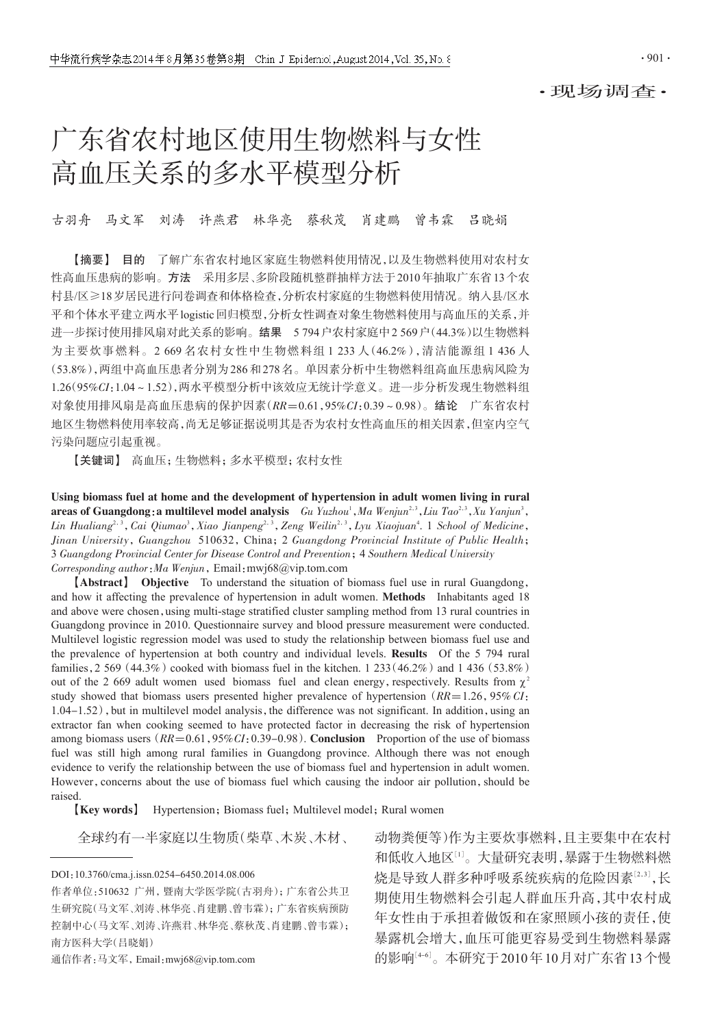·现场调查·

# 广东省农村地区使用生物燃料与女性 高血压关系的多水平模型分析

古羽舟 马文军 刘涛 许燕君 林华亮 蔡秋茂 肖建鹏 曾韦霖 吕晓娟

【摘要】 目的 了解广东省农村地区家庭生物燃料使用情况,以及生物燃料使用对农村女 性高血压患病的影响。方法 采用多层、多阶段随机整群抽样方法于2010年抽取广东省13个农 村县/区≥18岁居民进行问卷调查和体格检查,分析农村家庭的生物燃料使用情况。纳入县/区水 平和个体水平建立两水平logistic回归模型,分析女性调查对象生物燃料使用与高血压的关系,并 进一步探讨使用排风扇对此关系的影响。结果 5 794户农村家庭中2 569户(44.3%)以生物燃料 为主要炊事燃料。2 669 名农村女性中生物燃料组 1 233 人(46.2%),清洁能源组 1 436 人 (53.8%),两组中高血压患者分别为286和278名。单因素分析中生物燃料组高血压患病风险为 1.26(95%CI:1.04~1.52),两水平模型分析中该效应无统计学意义。进一步分析发现生物燃料组 对象使用排风扇是高血压患病的保护因素(RR=0.61,95%CI:0.39~0.98)。结论 广东省农村 地区生物燃料使用率较高,尚无足够证据说明其是否为农村女性高血压的相关因素,但室内空气 污染问题应引起重视。

【关键词】 高血压;生物燃料;多水平模型;农村女性

Using biomass fuel at home and the development of hypertension in adult women living in rural **areas of Guangdong: a multilevel model analysis** Gu Yuzhou<sup>1</sup>, Ma Wenjun<sup>2,3</sup>, Liu Tao<sup>2,3</sup>, Xu Yanjun<sup>3</sup>, Lin Hualiang<sup>2, 3</sup>, Cai Qiumao<sup>3</sup>, Xiao Jianpeng<sup>2, 3</sup>, Zeng Weilin<sup>2, 3</sup>, Lyu Xiaojuan<sup>4</sup>. 1 School of Medicine, Jinan University, Guangzhou 510632, China; 2 Guangdong Provincial Institute of Public Health; 3 Guangdong Provincial Center for Disease Control and Prevention;4 Southern Medical University Corresponding author: Ma Wenjun, Email: mwj68@vip.tom.com

【Abstract】 Objective To understand the situation of biomass fuel use in rural Guangdong, and how it affecting the prevalence of hypertension in adult women. Methods Inhabitants aged 18 and above were chosen, using multi-stage stratified cluster sampling method from 13 rural countries in Guangdong province in 2010. Questionnaire survey and blood pressure measurement were conducted. Multilevel logistic regression model was used to study the relationship between biomass fuel use and the prevalence of hypertension at both country and individual levels. Results Of the 5 794 rural families, 2 569 (44.3%) cooked with biomass fuel in the kitchen. 1 233 (46.2%) and 1 436 (53.8%) out of the 2 669 adult women used biomass fuel and clean energy, respectively. Results from  $\chi^2$ study showed that biomass users presented higher prevalence of hypertension ( $RR=1.26$ , 95% CI:  $1.04-1.52$ ), but in multilevel model analysis, the difference was not significant. In addition, using an extractor fan when cooking seemed to have protected factor in decreasing the risk of hypertension among biomass users  $(RR=0.61, 95\%CI: 0.39-0.98)$ . Conclusion Proportion of the use of biomass fuel was still high among rural families in Guangdong province. Although there was not enough evidence to verify the relationship between the use of biomass fuel and hypertension in adult women. However, concerns about the use of biomass fuel which causing the indoor air pollution, should be raised.

**[Key words]** Hypertension; Biomass fuel; Multilevel model; Rural women

通信作者:马文军,Email:mwj68@vip.tom.com

全球约有一半家庭以生物质(柴草、木炭、木材、 动物粪便等)作为主要炊事燃料,且主要集中在农村 和低收入地区[1]。大量研究表明,暴露于生物燃料燃 烧是导致人群多种呼吸系统疾病的危险因素[<sup>2</sup>,3] ,长 期使用生物燃料会引起人群血压升高,其中农村成 年女性由于承担着做饭和在家照顾小孩的责任,使 暴露机会增大,血压可能更容易受到生物燃料暴露 的影响'<sup>4-6'</sup>。本研究于2010年10月对广东省13个慢

DOI:10.3760/cma.j.issn.0254-6450.2014.08.006

作者单位:510632 广州,暨南大学医学院(古羽舟);广东省公共卫 生研究院(马文军、刘涛、林华亮、肖建鹏、曾韦霖);广东省疾病预防 控制中心(马文军、刘涛、许燕君、林华亮、蔡秋茂、肖建鹏、曾韦霖); 南方医科大学(吕晓娟)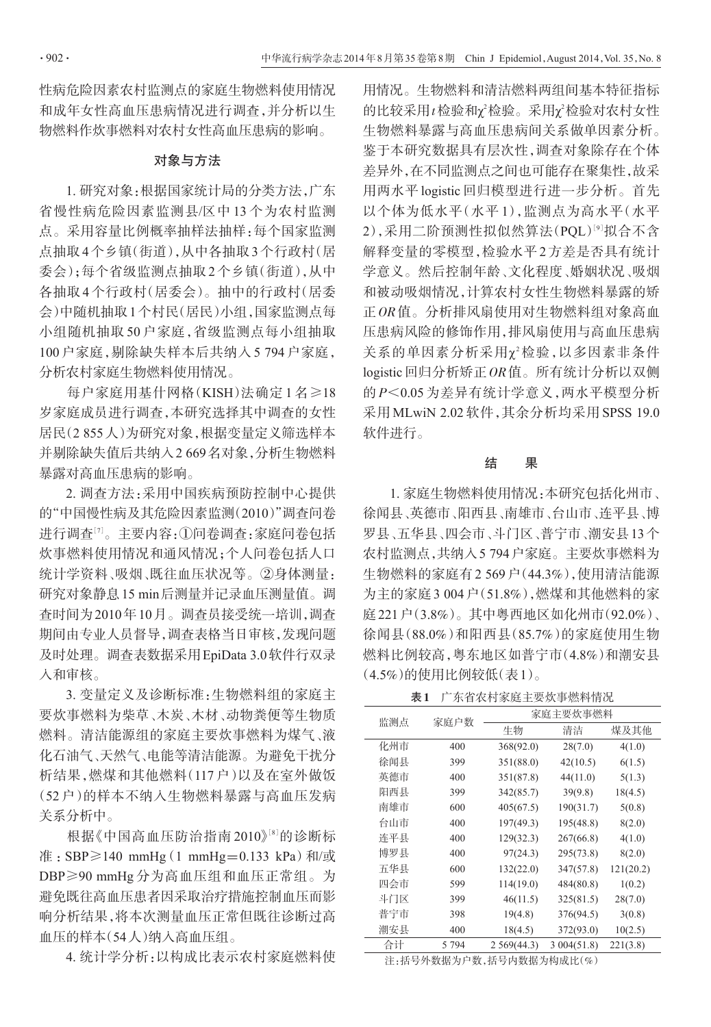性病危险因素农村监测点的家庭生物燃料使用情况 和成年女性高血压患病情况进行调查,并分析以生 物燃料作炊事燃料对农村女性高血压患病的影响。

## 对象与方法

1. 研究对象:根据国家统计局的分类方法,广东 省慢性病危险因素监测县/区中 13 个为农村监测 点。采用容量比例概率抽样法抽样:每个国家监测 点抽取4个乡镇(街道),从中各抽取3个行政村(居 委会);每个省级监测点抽取2个乡镇(街道),从中 各抽取4个行政村(居委会)。抽中的行政村(居委 会)中随机抽取1个村民(居民)小组,国家监测点每 小组随机抽取 50 户家庭,省级监测点每小组抽取 100 户家庭,剔除缺失样本后共纳入 5 794 户家庭, 分析农村家庭生物燃料使用情况。

每户家庭用基什网格(KISH)法确定 1 名≥18 岁家庭成员进行调查,本研究选择其中调查的女性 居民(2 855人)为研究对象,根据变量定义筛选样本 并剔除缺失值后共纳入2 669名对象,分析生物燃料 暴露对高血压患病的影响。

2. 调查方法:采用中国疾病预防控制中心提供 的"中国慢性病及其危险因素监测(2010)"调查问卷 进行调查''。主要内容:①问卷调查:家庭问卷包括 炊事燃料使用情况和通风情况;个人问卷包括人口 统计学资料、吸烟、既往血压状况等。②身体测量: 研究对象静息15 min后测量并记录血压测量值。调 查时间为2010年10月。调查员接受统一培训,调查 期间由专业人员督导,调查表格当日审核,发现问题 及时处理。调查表数据采用EpiData 3.0软件行双录 入和审核。

3. 变量定义及诊断标准:生物燃料组的家庭主 要炊事燃料为柴草、木炭、木材、动物粪便等生物质 燃料。清洁能源组的家庭主要炊事燃料为煤气、液 化石油气、天然气、电能等清洁能源。为避免干扰分 析结果,燃煤和其他燃料(117 户)以及在室外做饭 (52 户)的样本不纳入生物燃料暴露与高血压发病 关系分析中。

根据《中国高血压防治指南 2010》[<sup>8</sup>] 的诊断标 准: SBP≥140 mmHg(1 mmHg=0.133 kPa)和/或 DBP≥90 mmHg 分为高血压组和血压正常组。为 避免既往高血压患者因采取治疗措施控制血压而影 响分析结果,将本次测量血压正常但既往诊断过高 血压的样本(54人)纳入高血压组。

4. 统计学分析:以构成比表示农村家庭燃料使

用情况。生物燃料和清洁燃料两组间基本特征指标 的比较采用t检验和χ<sup>2</sup>检验。采用χ<sup>2</sup>检验对农村女性 生物燃料暴露与高血压患病间关系做单因素分析。 鉴于本研究数据具有层次性,调查对象除存在个体 差异外,在不同监测点之间也可能存在聚集性,故采 用两水平 logistic 回归模型进行进一步分析。首先 以个体为低水平(水平 1),监测点为高水平(水平 2),采用二阶预测性拟似然算法(PQL)'9'拟合不含 解释变量的零模型,检验水平2方差是否具有统计 学意义。然后控制年龄、文化程度、婚姻状况、吸烟 和被动吸烟情况,计算农村女性生物燃料暴露的矫 正OR值。分析排风扇使用对生物燃料组对象高血 压患病风险的修饰作用,排风扇使用与高血压患病 关系的单因素分析采用 χ2检验, 以多因素非条件 logistic回归分析矫正OR值。所有统计分析以双侧 的 P<0.05 为差异有统计学意义,两水平模型分析 采用 MLwiN 2.02 软件,其余分析均采用 SPSS 19.0 软件进行。

#### 结 果

1. 家庭生物燃料使用情况:本研究包括化州市、 徐闻县、英德市、阳西县、南雄市、台山市、连平县、博 罗县、五华县、四会市、斗门区、普宁市、潮安县13个 农村监测点,共纳入5 794户家庭。主要炊事燃料为 生物燃料的家庭有2 569户(44.3%),使用清洁能源 为主的家庭3 004户(51.8%),燃煤和其他燃料的家 庭221户(3.8%)。其中粤西地区如化州市(92.0%)、 徐闻县(88.0%)和阳西县(85.7%)的家庭使用生物 燃料比例较高,粤东地区如普宁市(4.8%)和潮安县 (4.5%)的使用比例较低(表1)。

表1 广东省农村家庭主要炊事燃料情况

| 监测点                                                                                                                                               | 家庭户数  | 家庭主要炊事燃料   |            |           |  |
|---------------------------------------------------------------------------------------------------------------------------------------------------|-------|------------|------------|-----------|--|
|                                                                                                                                                   |       | 生物         | 清洁         | 煤及其他      |  |
| 化州市                                                                                                                                               | 400   | 368(92.0)  | 28(7.0)    | 4(1.0)    |  |
| 徐闻县                                                                                                                                               | 399   | 351(88.0)  | 42(10.5)   | 6(1.5)    |  |
| 英德市                                                                                                                                               | 400   | 351(87.8)  | 44(11.0)   | 5(1.3)    |  |
| 阳西县                                                                                                                                               | 399   | 342(85.7)  | 39(9.8)    | 18(4.5)   |  |
| 南雄市                                                                                                                                               | 600   | 405(67.5)  | 190(31.7)  | 5(0.8)    |  |
| 台山市                                                                                                                                               | 400   | 197(49.3)  | 195(48.8)  | 8(2.0)    |  |
| 连平县                                                                                                                                               | 400   | 129(32.3)  | 267(66.8)  | 4(1.0)    |  |
| 博罗县                                                                                                                                               | 400   | 97(24.3)   | 295(73.8)  | 8(2.0)    |  |
| 五华县                                                                                                                                               | 600   | 132(22.0)  | 347(57.8)  | 121(20.2) |  |
| 四会市                                                                                                                                               | 599   | 114(19.0)  | 484(80.8)  | 1(0.2)    |  |
| 斗门区                                                                                                                                               | 399   | 46(11.5)   | 325(81.5)  | 28(7.0)   |  |
| 普宁市                                                                                                                                               | 398   | 19(4.8)    | 376(94.5)  | 3(0.8)    |  |
| 潮安县                                                                                                                                               | 400   | 18(4.5)    | 372(93.0)  | 10(2.5)   |  |
| 合计                                                                                                                                                | 5 794 | 2569(44.3) | 3004(51.8) | 221(3.8)  |  |
| \\. 60 FI / F W FI \F 30 A.W.<br>$L \leftarrow \Box \Box$ . I . W . Let M<br>$1.1.1$ M $\rightarrow$ 1. $\rightarrow$ $\rightarrow$ $\rightarrow$ |       |            |            |           |  |

注:括号外数据为户数,括号内数据为构成比(%)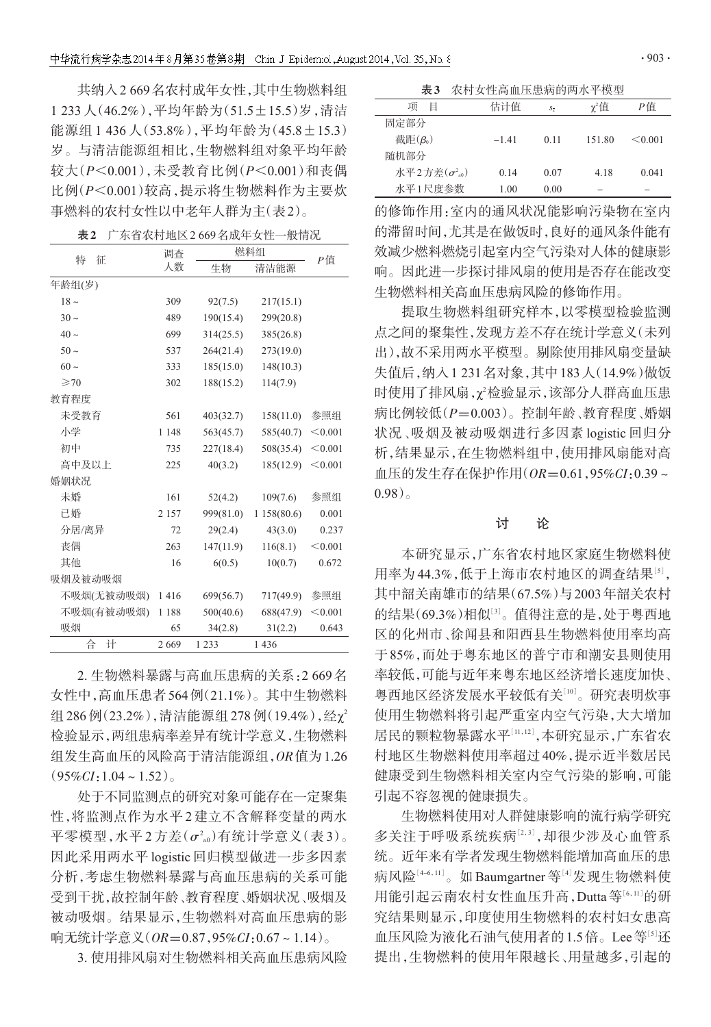共纳入2 669名农村成年女性,其中生物燃料组 1 233人(46.2%),平均年龄为(51.5±15.5)岁,清洁 能源组 1 436 人(53.8%),平均年龄为(45.8±15.3) 岁。与清洁能源组相比,生物燃料组对象平均年龄 较大(P<0.001),未受教育比例(P<0.001)和丧偶 比例(P<0.001)较高,提示将生物燃料作为主要炊 事燃料的农村女性以中老年人群为主(表2)。

| 表2 | 广东省农村地区2669名成年女性一般情况 |  |
|----|----------------------|--|
|    |                      |  |

| 征<br>特         | 调查      | 燃料组       |            |         |
|----------------|---------|-----------|------------|---------|
|                | 人数      | 生物        | 清洁能源       | Р值      |
| 年龄组(岁)         |         |           |            |         |
| $18\sim$       | 309     | 92(7.5)   | 217(15.1)  |         |
| $30 -$         | 489     | 190(15.4) | 299(20.8)  |         |
| $40\sim$       | 699     | 314(25.5) | 385(26.8)  |         |
| $50 -$         | 537     | 264(21.4) | 273(19.0)  |         |
| $60 -$         | 333     | 185(15.0) | 148(10.3)  |         |
| $\geqslant$ 70 | 302     | 188(15.2) | 114(7.9)   |         |
| 教育程度           |         |           |            |         |
| 未受教育           | 561     | 403(32.7) | 158(11.0)  | 参照组     |
| 小学             | 1 1 4 8 | 563(45.7) | 585(40.7)  | < 0.001 |
| 初中             | 735     | 227(18.4) | 508(35.4)  | < 0.001 |
| 高中及以上          | 225     | 40(3.2)   | 185(12.9)  | < 0.001 |
| 婚姻状况           |         |           |            |         |
| 未婚             | 161     | 52(4.2)   | 109(7.6)   | 参照组     |
| 已婚             | 2 1 5 7 | 999(81.0) | 1158(80.6) | 0.001   |
| 分居/离异          | 72      | 29(2.4)   | 43(3.0)    | 0.237   |
| 丧偶             | 263     | 147(11.9) | 116(8.1)   | < 0.001 |
| 其他             | 16      | 6(0.5)    | 10(0.7)    | 0.672   |
| 吸烟及被动吸烟        |         |           |            |         |
| 不吸烟(无被动吸烟)     | 1416    | 699(56.7) | 717(49.9)  | 参照组     |
| 不吸烟(有被动吸烟)     | 1 1 8 8 | 500(40.6) | 688(47.9)  | < 0.001 |
| 吸烟             | 65      | 34(2.8)   | 31(2.2)    | 0.643   |
| 습<br>计         | 2669    | 1 2 3 3   | 1436       |         |

2. 生物燃料暴露与高血压患病的关系:2 669名 女性中,高血压患者564例(21.1%)。其中生物燃料 组286例(23.2%),清洁能源组278例(19.4%),经χ<sup>2</sup> 检验显示,两组患病率差异有统计学意义,生物燃料 组发生高血压的风险高于清洁能源组,OR值为1.26  $(95\%CI:1.04 \sim 1.52)$ 

处于不同监测点的研究对象可能存在一定聚集 性,将监测点作为水平2建立不含解释变量的两水 平零模型,水平 2 方差(σ<sup>2</sup> <sup>u</sup><sup>0</sup>)有统计学意义(表 3)。 因此采用两水平 logistic 回归模型做进一步多因素 分析,考虑生物燃料暴露与高血压患病的关系可能 受到干扰,故控制年龄、教育程度、婚姻状况、吸烟及 被动吸烟。结果显示,生物燃料对高血压患病的影 响无统计学意义 $(OR=0.87, 95\% CI: 0.67 \sim 1.14)$ 。

3. 使用排风扇对生物燃料相关高血压患病风险

| 表3 | 农村女性高血压患病的两水平模型 |
|----|-----------------|
|----|-----------------|

| 项<br>Ħ                  | 估计值     | $S_{\overline{x}}$ | $\gamma^2$ 值 | Р值      |  |
|-------------------------|---------|--------------------|--------------|---------|--|
| 固定部分                    |         |                    |              |         |  |
| 截距 $(\beta_0)$          | $-1.41$ | 011                | 151.80       | < 0.001 |  |
| 随机部分                    |         |                    |              |         |  |
| 水平2方差 $(\sigma^2_{u0})$ | 0.14    | 0.07               | 4.18         | 0.041   |  |
| 水平1尺度参数                 | 1.00    | 0.00               |              |         |  |

的修饰作用:室内的通风状况能影响污染物在室内 的滞留时间,尤其是在做饭时,良好的通风条件能有 效减少燃料燃烧引起室内空气污染对人体的健康影 响。因此进一步探讨排风扇的使用是否存在能改变 生物燃料相关高血压患病风险的修饰作用。

提取生物燃料组研究样本,以零模型检验监测 点之间的聚集性,发现方差不存在统计学意义(未列 出),故不采用两水平模型。剔除使用排风扇变量缺 失值后,纳入1 231名对象,其中183人(14.9%)做饭 时使用了排风扇,χ<sup>2</sup> 检验显示,该部分人群高血压患 病比例较低(P=0.003)。控制年龄、教育程度、婚姻 状况、吸烟及被动吸烟进行多因素 logistic 回归分 析,结果显示,在生物燃料组中,使用排风扇能对高 血压的发生存在保护作用 $(OR=0.61, 95\% CI: 0.39 \sim$ 0.98)。

## 讨 论

本研究显示,广东省农村地区家庭生物燃料使 用率为44.3%,低于上海市农村地区的调查结果[5], 其中韶关南雄市的结果(67.5%)与2003年韶关农村 的结果(69.3%)相似[3]。值得注意的是,处于粤西地 区的化州市、徐闻县和阳西县生物燃料使用率均高 于85%,而处于粤东地区的普宁市和潮安县则使用 率较低,可能与近年来粤东地区经济增长速度加快、 粤西地区经济发展水平较低有关 $^{\text{[10]}}$ 。研究表明炊事 使用生物燃料将引起严重室内空气污染,大大增加 居民的颗粒物暴露水平[11,12],本研究显示,广东省农 村地区生物燃料使用率超过40%,提示近半数居民 健康受到生物燃料相关室内空气污染的影响,可能 引起不容忽视的健康损失。

生物燃料使用对人群健康影响的流行病学研究 多关注于呼吸系统疾病[2,3] ,却很少涉及心血管系 统。近年来有学者发现生物燃料能增加高血压的患 病风险[4-6,11]。如 Baumgartner 等[4]发现生物燃料使 用能引起云南农村女性血压升高,Dutta等[6,11]的研 究结果则显示,印度使用生物燃料的农村妇女患高 血压风险为液化石油气使用者的1.5倍。Lee等[5]还 提出,生物燃料的使用年限越长、用量越多,引起的